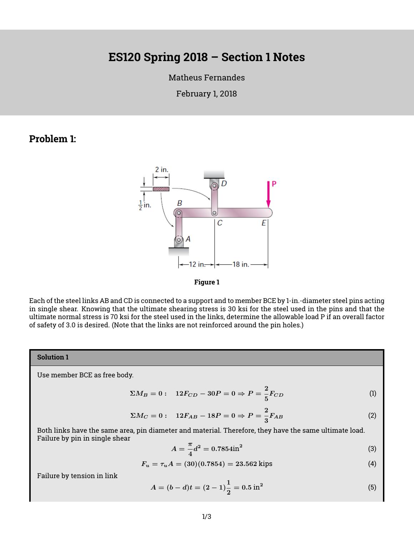# **ES120 Spring 2018 – Section 1 Notes**

#### [Matheus Fernandes](http://fer.me)

February 1, 2018

### **Problem 1:**





Each of the steel links AB and CD is connected to a support and to member BCE by 1-in.-diameter steel pins acting in single shear. Knowing that the ultimate shearing stress is 30 ksi for the steel used in the pins and that the ultimate normal stress is 70 ksi for the steel used in the links, determine the allowable load P if an overall factor of safety of 3.0 is desired. (Note that the links are not reinforced around the pin holes.)

#### **Solution 1**

Use member BCE as free body.

$$
\Sigma M_B = 0: \quad 12F_{CD} - 30P = 0 \Rightarrow P = \frac{2}{5}F_{CD}
$$
 (1)

$$
\Sigma M_C = 0: \quad 12F_{AB} - 18P = 0 \Rightarrow P = \frac{2}{3}F_{AB} \tag{2}
$$

Both links have the same area, pin diameter and material. Therefore, they have the same ultimate load. Failure by pin in single shear

$$
A = -\frac{\pi}{4}d^2 = 0.7854 \text{in}^2
$$
 (3)

$$
F_u = \tau_u A = (30)(0.7854) = 23.562 \text{ kips} \tag{4}
$$

Failure by tension in link

$$
A = (b - d)t = (2 - 1)\frac{1}{2} = 0.5 \text{ in}^2
$$
 (5)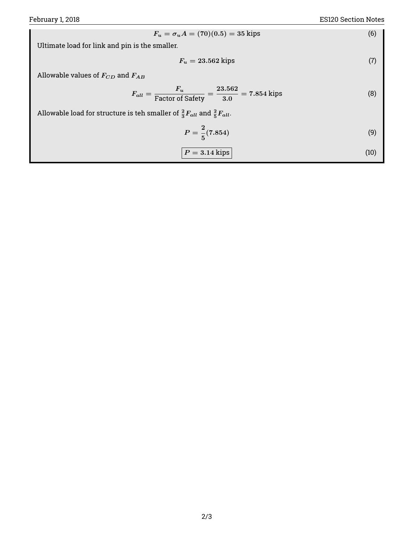$$
F_u = \sigma_u A = (70)(0.5) = 35 \text{ kips} \tag{6}
$$

Ultimate load for link and pin is the smaller.

$$
F_u = 23.562 \text{ kips} \tag{7}
$$

Allowable values of  $F_{CD}$  and  $F_{AB}$ 

$$
F_{all} = \frac{F_u}{\text{Factor of Safety}} = \frac{23.562}{3.0} = 7.854 \text{ kips} \tag{8}
$$

Allowable load for structure is teh smaller of  $\frac{2}{3} F_{all}$  and  $\frac{2}{5} F_{all}$ .

$$
P = \frac{2}{5}(7.854)
$$
 (9)

$$
P = 3.14 \text{ kips} \tag{10}
$$